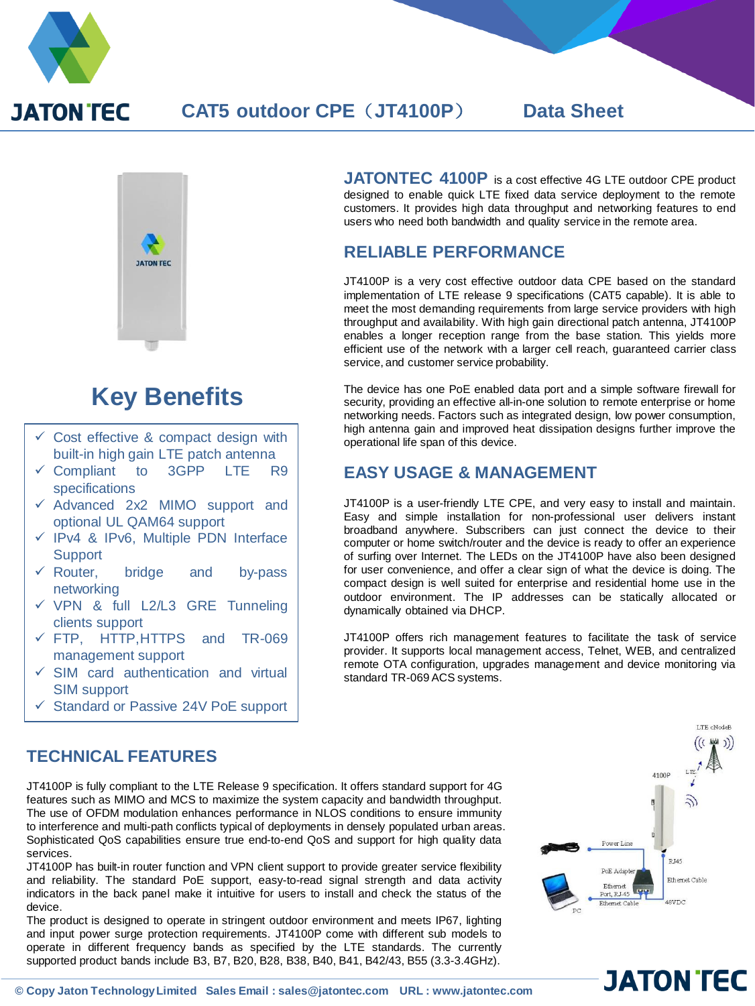

# **CAT5 outdoor CPE**(**JT4100P**) **Data Sheet**



# **Key Benefits**

- $\checkmark$  Cost effective & compact design with built-in high gain LTE patch antenna
- $\checkmark$  Compliant to 3GPP LTE R9 specifications
- $\checkmark$  Advanced 2x2 MIMO support and optional UL QAM64 support
- $\checkmark$  IPv4 & IPv6, Multiple PDN Interface **Support**
- $\checkmark$  Router, bridge and by-pass networking
- $\checkmark$  VPN & full L2/L3 GRE Tunneling clients support
- FTP, HTTP,HTTPS and TR-069 management support
- $\checkmark$  SIM card authentication and virtual SIM support
- $\checkmark$  Standard or Passive 24V PoE support

#### **JATONTEC 4100P** is <sup>a</sup> cost effective 4G LTE outdoor CPE product designed to enable quick LTE fixed data service deployment to the remote customers. It provides high data throughput and networking features to end users who need both bandwidth and quality service in the remote area.

# **RELIABLE PERFORMANCE**

JT4100P is a very cost effective outdoor data CPE based on the standard implementation of LTE release 9 specifications (CAT5 capable). It is able to meet the most demanding requirements from large service providers with high throughput and availability. With high gain directional patch antenna, JT4100P enables a longer reception range from the base station. This yields more efficient use of the network with a larger cell reach, guaranteed carrier class service, and customer service probability.

The device has one PoE enabled data port and a simple software firewall for security, providing an effective all-in-one solution to remote enterprise or home networking needs. Factors such as integrated design, low power consumption, high antenna gain and improved heat dissipation designs further improve the operational life span of this device.

## **EASY USAGE & MANAGEMENT**

JT4100P is a user-friendly LTE CPE, and very easy to install and maintain. Easy and simple installation for non-professional user delivers instant broadband anywhere. Subscribers can just connect the device to their computer or home switch/router and the device is ready to offer an experience of surfing over Internet. The LEDs on the JT4100P have also been designed for user convenience, and offer a clear sign of what the device is doing. The compact design is well suited for enterprise and residential home use in the outdoor environment. The IP addresses can be statically allocated or dynamically obtained via DHCP.

JT4100P offers rich management features to facilitate the task of service provider. It supports local management access, Telnet, WEB, and centralized remote OTA configuration, upgrades management and device monitoring via standard TR-069 ACS systems.

# **TECHNICAL FEATURES**

JT4100P is fully compliant to the LTE Release 9 specification. It offers standard support for 4G features such as MIMO and MCS to maximize the system capacity and bandwidth throughput. The use of OFDM modulation enhances performance in NLOS conditions to ensure immunity to interference and multi-path conflicts typical of deployments in densely populated urban areas. Sophisticated QoS capabilities ensure true end-to-end QoS and support for high quality data services.

JT4100P has built-in router function and VPN client support to provide greater service flexibility and reliability. The standard PoE support, easy-to-read signal strength and data activity indicators in the back panel make it intuitive for users to install and check the status of the device.

The product is designed to operate in stringent outdoor environment and meets IP67, lighting and input power surge protection requirements. JT4100P come with different sub models to operate in different frequency bands as specified by the LTE standards. The currently supported product bands include B3, B7, B20, B28, B38, B40, B41, B42/43, B55 (3.3-3.4GHz).



**JATON TEC**